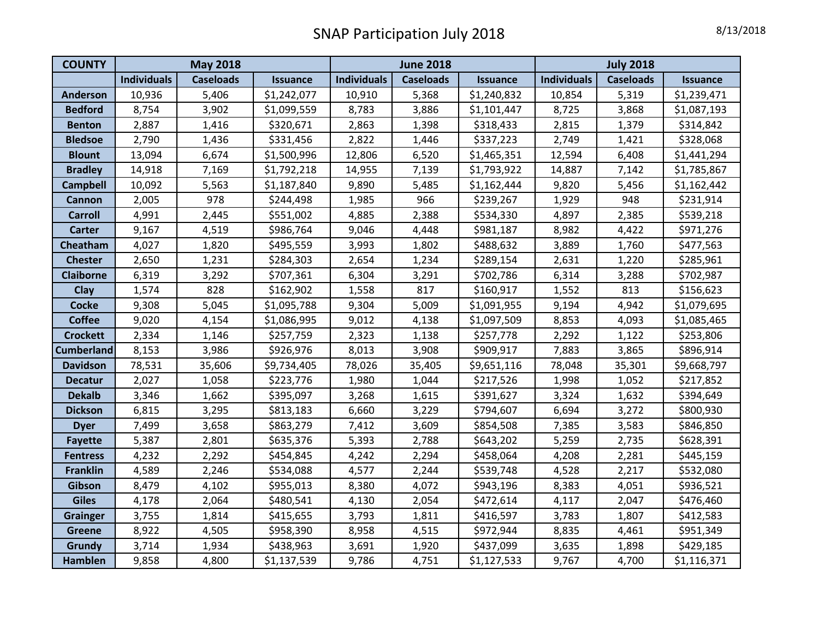| <b>COUNTY</b>     | <b>May 2018</b>    |                  |                 | <b>June 2018</b>   |                  |                 | <b>July 2018</b>   |                  |                 |
|-------------------|--------------------|------------------|-----------------|--------------------|------------------|-----------------|--------------------|------------------|-----------------|
|                   | <b>Individuals</b> | <b>Caseloads</b> | <b>Issuance</b> | <b>Individuals</b> | <b>Caseloads</b> | <b>Issuance</b> | <b>Individuals</b> | <b>Caseloads</b> | <b>Issuance</b> |
| <b>Anderson</b>   | 10,936             | 5,406            | \$1,242,077     | 10,910             | 5,368            | \$1,240,832     | 10,854             | 5,319            | \$1,239,471     |
| <b>Bedford</b>    | 8,754              | 3,902            | \$1,099,559     | 8,783              | 3,886            | \$1,101,447     | 8,725              | 3,868            | \$1,087,193     |
| <b>Benton</b>     | 2,887              | 1,416            | \$320,671       | 2,863              | 1,398            | \$318,433       | 2,815              | 1,379            | \$314,842       |
| <b>Bledsoe</b>    | 2,790              | 1,436            | \$331,456       | 2,822              | 1,446            | \$337,223       | 2,749              | 1,421            | \$328,068       |
| <b>Blount</b>     | 13,094             | 6,674            | \$1,500,996     | 12,806             | 6,520            | \$1,465,351     | 12,594             | 6,408            | \$1,441,294     |
| <b>Bradley</b>    | 14,918             | 7,169            | \$1,792,218     | 14,955             | 7,139            | \$1,793,922     | 14,887             | 7,142            | \$1,785,867     |
| <b>Campbell</b>   | 10,092             | 5,563            | \$1,187,840     | 9,890              | 5,485            | \$1,162,444     | 9,820              | 5,456            | \$1,162,442     |
| <b>Cannon</b>     | 2,005              | 978              | \$244,498       | 1,985              | 966              | \$239,267       | 1,929              | 948              | \$231,914       |
| <b>Carroll</b>    | 4,991              | 2,445            | \$551,002       | 4,885              | 2,388            | \$534,330       | 4,897              | 2,385            | \$539,218       |
| <b>Carter</b>     | 9,167              | 4,519            | \$986,764       | 9,046              | 4,448            | \$981,187       | 8,982              | 4,422            | \$971,276       |
| Cheatham          | 4,027              | 1,820            | \$495,559       | 3,993              | 1,802            | \$488,632       | 3,889              | 1,760            | \$477,563       |
| <b>Chester</b>    | 2,650              | 1,231            | \$284,303       | 2,654              | 1,234            | \$289,154       | 2,631              | 1,220            | \$285,961       |
| <b>Claiborne</b>  | 6,319              | 3,292            | \$707,361       | 6,304              | 3,291            | \$702,786       | 6,314              | 3,288            | \$702,987       |
| Clay              | 1,574              | 828              | \$162,902       | 1,558              | 817              | \$160,917       | 1,552              | 813              | \$156,623       |
| <b>Cocke</b>      | 9,308              | 5,045            | \$1,095,788     | 9,304              | 5,009            | \$1,091,955     | 9,194              | 4,942            | \$1,079,695     |
| <b>Coffee</b>     | 9,020              | 4,154            | \$1,086,995     | 9,012              | 4,138            | \$1,097,509     | 8,853              | 4,093            | \$1,085,465     |
| <b>Crockett</b>   | 2,334              | 1,146            | \$257,759       | 2,323              | 1,138            | \$257,778       | 2,292              | 1,122            | \$253,806       |
| <b>Cumberland</b> | 8,153              | 3,986            | \$926,976       | 8,013              | 3,908            | \$909,917       | 7,883              | 3,865            | \$896,914       |
| <b>Davidson</b>   | 78,531             | 35,606           | \$9,734,405     | 78,026             | 35,405           | \$9,651,116     | 78,048             | 35,301           | \$9,668,797     |
| <b>Decatur</b>    | 2,027              | 1,058            | \$223,776       | 1,980              | 1,044            | \$217,526       | 1,998              | 1,052            | \$217,852       |
| <b>Dekalb</b>     | 3,346              | 1,662            | \$395,097       | 3,268              | 1,615            | \$391,627       | 3,324              | 1,632            | \$394,649       |
| <b>Dickson</b>    | 6,815              | 3,295            | \$813,183       | 6,660              | 3,229            | \$794,607       | 6,694              | 3,272            | \$800,930       |
| <b>Dyer</b>       | 7,499              | 3,658            | \$863,279       | 7,412              | 3,609            | \$854,508       | 7,385              | 3,583            | \$846,850       |
| <b>Fayette</b>    | 5,387              | 2,801            | \$635,376       | 5,393              | 2,788            | \$643,202       | 5,259              | 2,735            | \$628,391       |
| <b>Fentress</b>   | 4,232              | 2,292            | \$454,845       | 4,242              | 2,294            | \$458,064       | 4,208              | 2,281            | \$445,159       |
| <b>Franklin</b>   | 4,589              | 2,246            | \$534,088       | 4,577              | 2,244            | \$539,748       | 4,528              | 2,217            | \$532,080       |
| Gibson            | 8,479              | 4,102            | \$955,013       | 8,380              | 4,072            | \$943,196       | 8,383              | 4,051            | \$936,521       |
| <b>Giles</b>      | 4,178              | 2,064            | \$480,541       | 4,130              | 2,054            | \$472,614       | 4,117              | 2,047            | \$476,460       |
| <b>Grainger</b>   | 3,755              | 1,814            | \$415,655       | 3,793              | 1,811            | \$416,597       | 3,783              | 1,807            | \$412,583       |
| <b>Greene</b>     | 8,922              | 4,505            | \$958,390       | 8,958              | 4,515            | \$972,944       | 8,835              | 4,461            | \$951,349       |
| Grundy            | 3,714              | 1,934            | \$438,963       | 3,691              | 1,920            | \$437,099       | 3,635              | 1,898            | \$429,185       |
| Hamblen           | 9,858              | 4,800            | \$1,137,539     | 9,786              | 4,751            | \$1,127,533     | 9,767              | 4,700            | \$1,116,371     |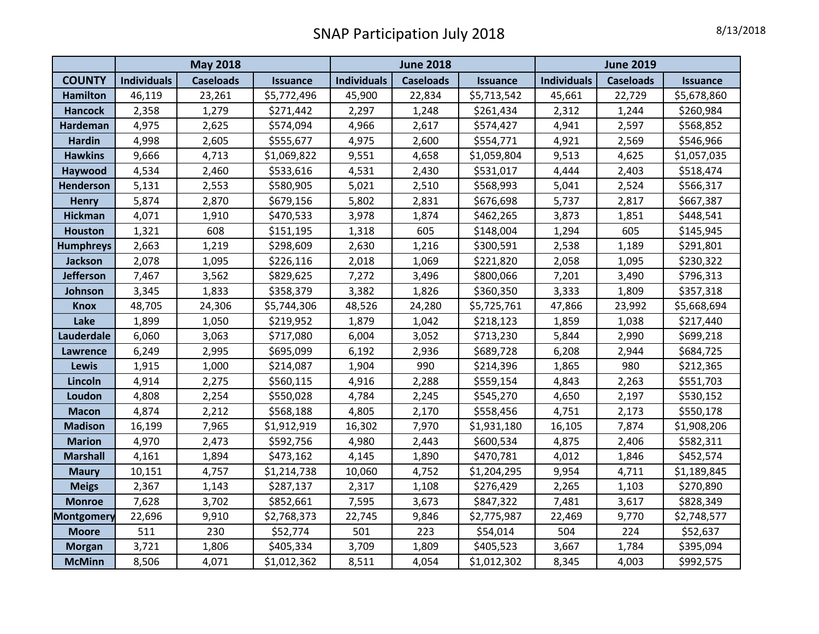|                   | <b>May 2018</b>    |                  |                 | <b>June 2018</b>   |                  |                 | <b>June 2019</b>   |                  |                 |
|-------------------|--------------------|------------------|-----------------|--------------------|------------------|-----------------|--------------------|------------------|-----------------|
| <b>COUNTY</b>     | <b>Individuals</b> | <b>Caseloads</b> | <b>Issuance</b> | <b>Individuals</b> | <b>Caseloads</b> | <b>Issuance</b> | <b>Individuals</b> | <b>Caseloads</b> | <b>Issuance</b> |
| <b>Hamilton</b>   | 46,119             | 23,261           | \$5,772,496     | 45,900             | 22,834           | \$5,713,542     | 45,661             | 22,729           | \$5,678,860     |
| <b>Hancock</b>    | 2,358              | 1,279            | \$271,442       | 2,297              | 1,248            | \$261,434       | 2,312              | 1,244            | \$260,984       |
| Hardeman          | 4,975              | 2,625            | \$574,094       | 4,966              | 2,617            | \$574,427       | 4,941              | 2,597            | \$568,852       |
| <b>Hardin</b>     | 4,998              | 2,605            | \$555,677       | 4,975              | 2,600            | \$554,771       | 4,921              | 2,569            | \$546,966       |
| <b>Hawkins</b>    | 9,666              | 4,713            | \$1,069,822     | 9,551              | 4,658            | \$1,059,804     | 9,513              | 4,625            | \$1,057,035     |
| Haywood           | 4,534              | 2,460            | \$533,616       | 4,531              | 2,430            | \$531,017       | 4,444              | 2,403            | \$518,474       |
| <b>Henderson</b>  | 5,131              | 2,553            | \$580,905       | 5,021              | 2,510            | \$568,993       | 5,041              | 2,524            | \$566,317       |
| <b>Henry</b>      | 5,874              | 2,870            | \$679,156       | 5,802              | 2,831            | \$676,698       | 5,737              | 2,817            | \$667,387       |
| <b>Hickman</b>    | 4,071              | 1,910            | \$470,533       | 3,978              | 1,874            | \$462,265       | 3,873              | 1,851            | \$448,541       |
| <b>Houston</b>    | 1,321              | 608              | \$151,195       | 1,318              | 605              | \$148,004       | 1,294              | 605              | \$145,945       |
| <b>Humphreys</b>  | 2,663              | 1,219            | \$298,609       | 2,630              | 1,216            | \$300,591       | 2,538              | 1,189            | \$291,801       |
| <b>Jackson</b>    | 2,078              | 1,095            | \$226,116       | 2,018              | 1,069            | \$221,820       | 2,058              | 1,095            | \$230,322       |
| <b>Jefferson</b>  | 7,467              | 3,562            | \$829,625       | 7,272              | 3,496            | \$800,066       | 7,201              | 3,490            | \$796,313       |
| Johnson           | 3,345              | 1,833            | \$358,379       | 3,382              | 1,826            | \$360,350       | 3,333              | 1,809            | \$357,318       |
| <b>Knox</b>       | 48,705             | 24,306           | \$5,744,306     | 48,526             | 24,280           | \$5,725,761     | 47,866             | 23,992           | \$5,668,694     |
| Lake              | 1,899              | 1,050            | \$219,952       | 1,879              | 1,042            | \$218,123       | 1,859              | 1,038            | \$217,440       |
| Lauderdale        | 6,060              | 3,063            | \$717,080       | 6,004              | 3,052            | \$713,230       | 5,844              | 2,990            | \$699,218       |
| <b>Lawrence</b>   | 6,249              | 2,995            | \$695,099       | 6,192              | 2,936            | \$689,728       | 6,208              | 2,944            | \$684,725       |
| Lewis             | 1,915              | 1,000            | \$214,087       | 1,904              | 990              | \$214,396       | 1,865              | 980              | \$212,365       |
| Lincoln           | 4,914              | 2,275            | \$560,115       | 4,916              | 2,288            | \$559,154       | 4,843              | 2,263            | \$551,703       |
| Loudon            | 4,808              | 2,254            | \$550,028       | 4,784              | 2,245            | \$545,270       | 4,650              | 2,197            | \$530,152       |
| <b>Macon</b>      | 4,874              | 2,212            | \$568,188       | 4,805              | 2,170            | \$558,456       | 4,751              | 2,173            | \$550,178       |
| <b>Madison</b>    | 16,199             | 7,965            | \$1,912,919     | 16,302             | 7,970            | \$1,931,180     | 16,105             | 7,874            | \$1,908,206     |
| <b>Marion</b>     | 4,970              | 2,473            | \$592,756       | 4,980              | 2,443            | \$600,534       | 4,875              | 2,406            | \$582,311       |
| <b>Marshall</b>   | 4,161              | 1,894            | \$473,162       | 4,145              | 1,890            | \$470,781       | 4,012              | 1,846            | \$452,574       |
| <b>Maury</b>      | 10,151             | 4,757            | \$1,214,738     | 10,060             | 4,752            | \$1,204,295     | 9,954              | 4,711            | \$1,189,845     |
| <b>Meigs</b>      | 2,367              | 1,143            | \$287,137       | 2,317              | 1,108            | \$276,429       | 2,265              | 1,103            | \$270,890       |
| <b>Monroe</b>     | 7,628              | 3,702            | \$852,661       | 7,595              | 3,673            | \$847,322       | 7,481              | 3,617            | \$828,349       |
| <b>Montgomery</b> | 22,696             | 9,910            | \$2,768,373     | 22,745             | 9,846            | \$2,775,987     | 22,469             | 9,770            | \$2,748,577     |
| <b>Moore</b>      | 511                | 230              | \$52,774        | 501                | 223              | \$54,014        | 504                | 224              | \$52,637        |
| <b>Morgan</b>     | 3,721              | 1,806            | \$405,334       | 3,709              | 1,809            | \$405,523       | 3,667              | 1,784            | \$395,094       |
| <b>McMinn</b>     | 8,506              | 4,071            | \$1,012,362     | 8,511              | 4,054            | \$1,012,302     | 8,345              | 4,003            | \$992,575       |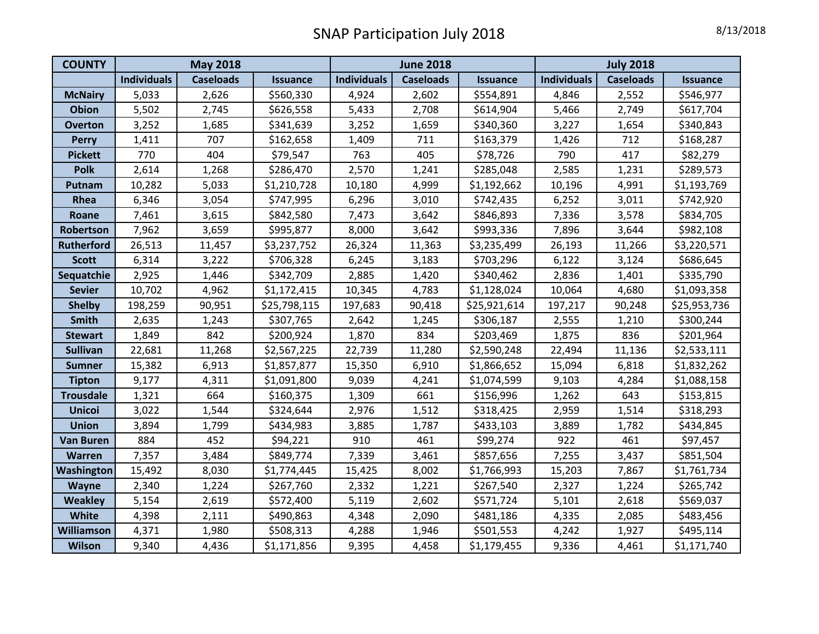| <b>COUNTY</b>     | <b>May 2018</b>    |                  |                 | <b>June 2018</b>   |                  |                 | <b>July 2018</b>   |                  |                 |
|-------------------|--------------------|------------------|-----------------|--------------------|------------------|-----------------|--------------------|------------------|-----------------|
|                   | <b>Individuals</b> | <b>Caseloads</b> | <b>Issuance</b> | <b>Individuals</b> | <b>Caseloads</b> | <b>Issuance</b> | <b>Individuals</b> | <b>Caseloads</b> | <b>Issuance</b> |
| <b>McNairy</b>    | 5,033              | 2,626            | \$560,330       | 4,924              | 2,602            | \$554,891       | 4,846              | 2,552            | \$546,977       |
| <b>Obion</b>      | 5,502              | 2,745            | \$626,558       | 5,433              | 2,708            | \$614,904       | 5,466              | 2,749            | \$617,704       |
| <b>Overton</b>    | 3,252              | 1,685            | \$341,639       | 3,252              | 1,659            | \$340,360       | 3,227              | 1,654            | \$340,843       |
| <b>Perry</b>      | 1,411              | 707              | \$162,658       | 1,409              | 711              | \$163,379       | 1,426              | 712              | \$168,287       |
| <b>Pickett</b>    | 770                | 404              | \$79,547        | 763                | 405              | \$78,726        | 790                | 417              | \$82,279        |
| <b>Polk</b>       | 2,614              | 1,268            | \$286,470       | 2,570              | 1,241            | \$285,048       | 2,585              | 1,231            | \$289,573       |
| Putnam            | 10,282             | 5,033            | \$1,210,728     | 10,180             | 4,999            | \$1,192,662     | 10,196             | 4,991            | \$1,193,769     |
| Rhea              | 6,346              | 3,054            | \$747,995       | 6,296              | 3,010            | \$742,435       | 6,252              | 3,011            | \$742,920       |
| Roane             | 7,461              | 3,615            | \$842,580       | 7,473              | 3,642            | \$846,893       | 7,336              | 3,578            | \$834,705       |
| Robertson         | 7,962              | 3,659            | \$995,877       | 8,000              | 3,642            | \$993,336       | 7,896              | 3,644            | \$982,108       |
| <b>Rutherford</b> | 26,513             | 11,457           | \$3,237,752     | 26,324             | 11,363           | \$3,235,499     | 26,193             | 11,266           | \$3,220,571     |
| <b>Scott</b>      | 6,314              | 3,222            | \$706,328       | 6,245              | 3,183            | \$703,296       | 6,122              | 3,124            | \$686,645       |
| Sequatchie        | 2,925              | 1,446            | \$342,709       | 2,885              | 1,420            | \$340,462       | 2,836              | 1,401            | \$335,790       |
| <b>Sevier</b>     | 10,702             | 4,962            | \$1,172,415     | 10,345             | 4,783            | \$1,128,024     | 10,064             | 4,680            | \$1,093,358     |
| <b>Shelby</b>     | 198,259            | 90,951           | \$25,798,115    | 197,683            | 90,418           | \$25,921,614    | 197,217            | 90,248           | \$25,953,736    |
| <b>Smith</b>      | 2,635              | 1,243            | \$307,765       | 2,642              | 1,245            | \$306,187       | 2,555              | 1,210            | \$300,244       |
| <b>Stewart</b>    | 1,849              | 842              | \$200,924       | 1,870              | 834              | \$203,469       | 1,875              | 836              | \$201,964       |
| <b>Sullivan</b>   | 22,681             | 11,268           | \$2,567,225     | 22,739             | 11,280           | \$2,590,248     | 22,494             | 11,136           | \$2,533,111     |
| <b>Sumner</b>     | 15,382             | 6,913            | \$1,857,877     | 15,350             | 6,910            | \$1,866,652     | 15,094             | 6,818            | \$1,832,262     |
| <b>Tipton</b>     | 9,177              | 4,311            | \$1,091,800     | 9,039              | 4,241            | \$1,074,599     | 9,103              | 4,284            | \$1,088,158     |
| <b>Trousdale</b>  | 1,321              | 664              | \$160,375       | 1,309              | 661              | \$156,996       | 1,262              | 643              | \$153,815       |
| <b>Unicoi</b>     | 3,022              | 1,544            | \$324,644       | 2,976              | 1,512            | \$318,425       | 2,959              | 1,514            | \$318,293       |
| <b>Union</b>      | 3,894              | 1,799            | \$434,983       | 3,885              | 1,787            | \$433,103       | 3,889              | 1,782            | \$434,845       |
| <b>Van Buren</b>  | 884                | 452              | \$94,221        | 910                | 461              | \$99,274        | 922                | 461              | \$97,457        |
| <b>Warren</b>     | 7,357              | 3,484            | \$849,774       | 7,339              | 3,461            | \$857,656       | 7,255              | 3,437            | \$851,504       |
| Washington        | 15,492             | 8,030            | \$1,774,445     | 15,425             | 8,002            | \$1,766,993     | 15,203             | 7,867            | \$1,761,734     |
| <b>Wayne</b>      | 2,340              | 1,224            | \$267,760       | 2,332              | 1,221            | \$267,540       | 2,327              | 1,224            | \$265,742       |
| <b>Weakley</b>    | 5,154              | 2,619            | \$572,400       | 5,119              | 2,602            | \$571,724       | 5,101              | 2,618            | \$569,037       |
| White             | 4,398              | 2,111            | \$490,863       | 4,348              | 2,090            | \$481,186       | 4,335              | 2,085            | \$483,456       |
| Williamson        | 4,371              | 1,980            | \$508,313       | 4,288              | 1,946            | \$501,553       | 4,242              | 1,927            | \$495,114       |
| <b>Wilson</b>     | 9,340              | 4,436            | \$1,171,856     | 9,395              | 4,458            | \$1,179,455     | 9,336              | 4,461            | \$1,171,740     |